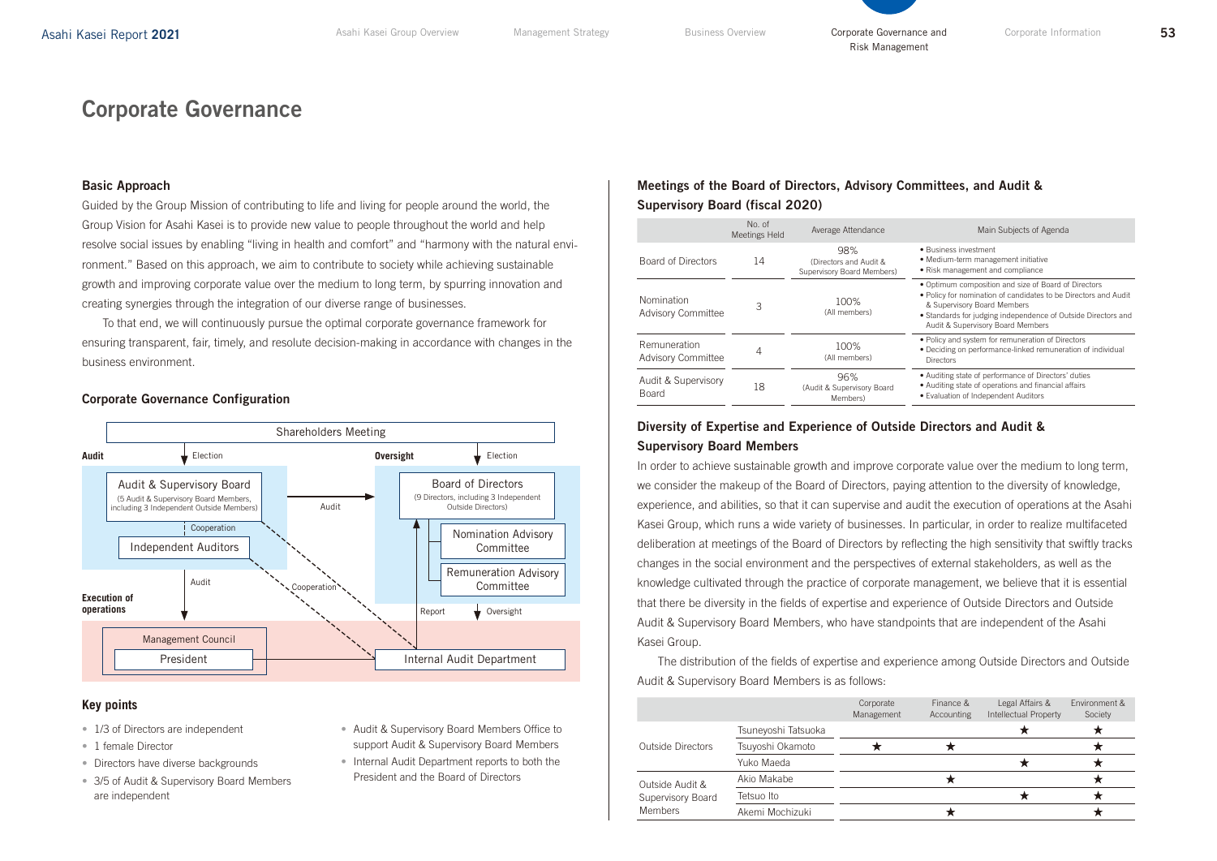# Corporate Governance

# Basic Approach

Guided by the Group Mission of contributing to life and living for people around the world, the Group Vision for Asahi Kasei is to provide new value to people throughout the world and help resolve social issues by enabling "living in health and comfort" and "harmony with the natural environment." Based on this approach, we aim to contribute to society while achieving sustainable growth and improving corporate value over the medium to long term, by spurring innovation and creating synergies through the integration of our diverse range of businesses.

To that end, we will continuously pursue the optimal corporate governance framework for ensuring transparent, fair, timely, and resolute decision-making in accordance with changes in the business environment.

#### Nomination Advisory **Committee Audit Oversight** Election Audit Report **v** Oversight **Cooperation** Cooperation **Execution of operations** President Independent Auditors Election Audit Management Council Remuneration Advisory Committee Board of Directors (9 Directors, including 3 Independent Outside Directors) Audit & Supervisory Board (5 Audit & Supervisory Board Members, including 3 Independent Outside Members) Internal Audit Department Shareholders Meeting

# **Corporate Governance Configuration**

# **Key points**

- 1/3 of Directors are independent
- 1 female Director
- Directors have diverse backgrounds
- 3/5 of Audit & Supervisory Board Members are independent
- Audit & Supervisory Board Members Office to support Audit & Supervisory Board Members
- Internal Audit Department reports to both the President and the Board of Directors

# Meetings of the Board of Directors, Advisory Committees, and Audit & Supervisory Board (fiscal 2020)

|                                           | No. of<br>Meetings Held | Average Attendance                                                                                                                                            | Main Subjects of Agenda                                                                                                                                                                                                                                      |
|-------------------------------------------|-------------------------|---------------------------------------------------------------------------------------------------------------------------------------------------------------|--------------------------------------------------------------------------------------------------------------------------------------------------------------------------------------------------------------------------------------------------------------|
| <b>Board of Directors</b>                 | 14                      | 98%<br>(Directors and Audit &<br>Supervisory Board Members)                                                                                                   | • Business investment<br>• Medium-term management initiative<br>• Risk management and compliance                                                                                                                                                             |
| Nomination<br><b>Advisory Committee</b>   | 3                       | 100%<br>(All members)                                                                                                                                         | . Optimum composition and size of Board of Directors<br>. Policy for nomination of candidates to be Directors and Audit<br>& Supervisory Board Members<br>• Standards for judging independence of Outside Directors and<br>Audit & Supervisory Board Members |
| Remuneration<br><b>Advisory Committee</b> | 4                       | • Policy and system for remuneration of Directors<br>100%<br>. Deciding on performance-linked remuneration of individual<br>(All members)<br><b>Directors</b> |                                                                                                                                                                                                                                                              |
| Audit & Supervisory<br><b>Board</b>       | 18                      | 96%<br>(Audit & Supervisory Board<br>Members)                                                                                                                 | • Auditing state of performance of Directors' duties<br>• Auditing state of operations and financial affairs<br>· Evaluation of Independent Auditors                                                                                                         |

# Diversity of Expertise and Experience of Outside Directors and Audit & Supervisory Board Members

In order to achieve sustainable growth and improve corporate value over the medium to long term, we consider the makeup of the Board of Directors, paying attention to the diversity of knowledge, experience, and abilities, so that it can supervise and audit the execution of operations at the Asahi Kasei Group, which runs a wide variety of businesses. In particular, in order to realize multifaceted deliberation at meetings of the Board of Directors by reflecting the high sensitivity that swiftly tracks changes in the social environment and the perspectives of external stakeholders, as well as the knowledge cultivated through the practice of corporate management, we believe that it is essential that there be diversity in the fields of expertise and experience of Outside Directors and Outside Audit & Supervisory Board Members, who have standpoints that are independent of the Asahi Kasei Group.

The distribution of the fields of expertise and experience among Outside Directors and Outside Audit & Supervisory Board Members is as follows:

|                                                        |                     | Corporate<br>Management | Finance &<br>Accounting | Legal Affairs &<br><b>Intellectual Property</b> | Environment &<br>Society |
|--------------------------------------------------------|---------------------|-------------------------|-------------------------|-------------------------------------------------|--------------------------|
| Outside Directors                                      | Tsuneyoshi Tatsuoka |                         |                         |                                                 |                          |
|                                                        | Tsuyoshi Okamoto    |                         |                         |                                                 |                          |
|                                                        | Yuko Maeda          |                         |                         |                                                 |                          |
| Outside Audit &<br>Supervisory Board<br><b>Members</b> | Akio Makabe         |                         |                         |                                                 |                          |
|                                                        | Tetsuo Ito          |                         |                         |                                                 |                          |
|                                                        | Akemi Mochizuki     |                         |                         |                                                 |                          |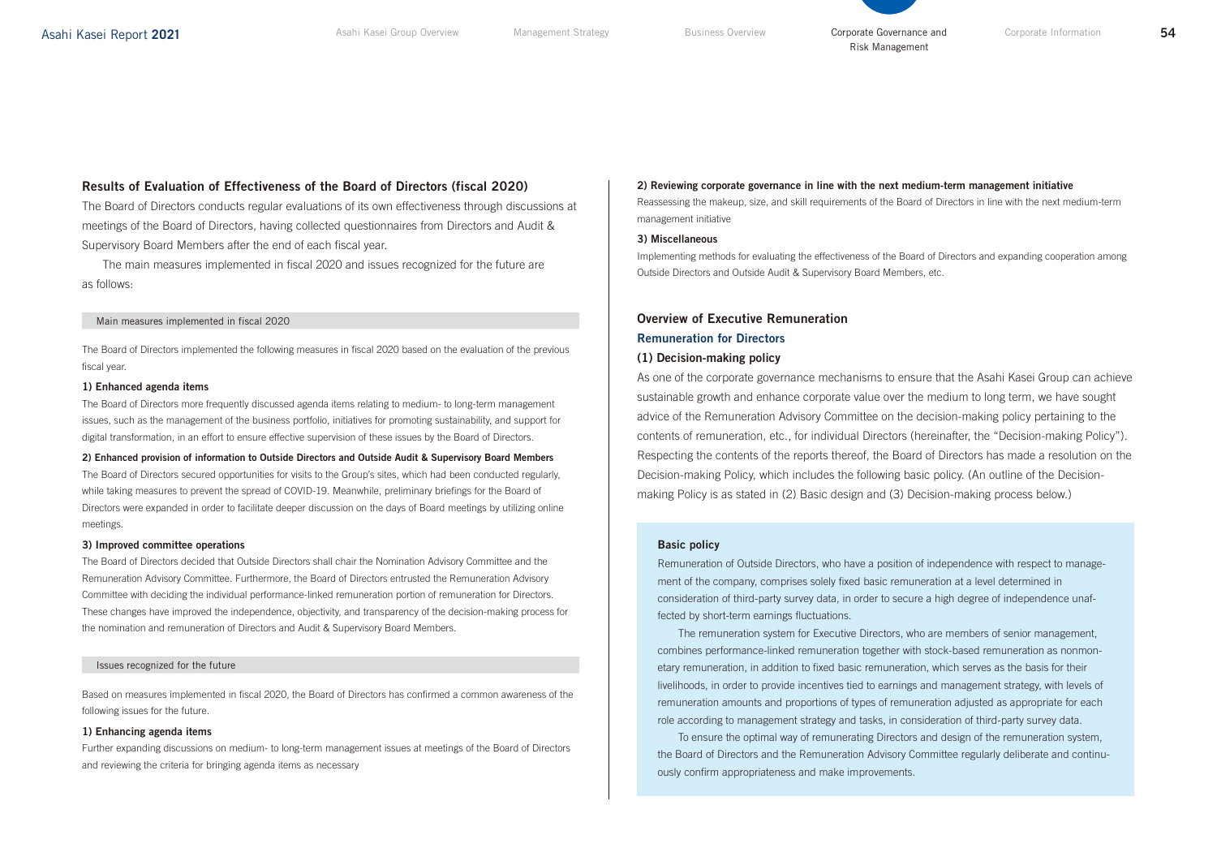# Results of Evaluation of Effectiveness of the Board of Directors (fiscal 2020)

The Board of Directors conducts regular evaluations of its own effectiveness through discussions at meetings of the Board of Directors, having collected questionnaires from Directors and Audit & Supervisory Board Members after the end of each fiscal year.

The main measures implemented in fiscal 2020 and issues recognized for the future are as follows:

#### Main measures implemented in fiscal 2020

The Board of Directors implemented the following measures in fiscal 2020 based on the evaluation of the previous fiscal year.

#### 1) Enhanced agenda items

The Board of Directors more frequently discussed agenda items relating to medium- to long-term management issues, such as the management of the business portfolio, initiatives for promoting sustainability, and support for digital transformation, in an effort to ensure effective supervision of these issues by the Board of Directors.

2) Enhanced provision of information to Outside Directors and Outside Audit & Supervisory Board Members The Board of Directors secured opportunities for visits to the Group's sites, which had been conducted regularly, while taking measures to prevent the spread of COVID-19. Meanwhile, preliminary briefings for the Board of Directors were expanded in order to facilitate deeper discussion on the days of Board meetings by utilizing online meetings.

#### 3) Improved committee operations

The Board of Directors decided that Outside Directors shall chair the Nomination Advisory Committee and the Remuneration Advisory Committee. Furthermore, the Board of Directors entrusted the Remuneration Advisory Committee with deciding the individual performance-linked remuneration portion of remuneration for Directors. These changes have improved the independence, objectivity, and transparency of the decision-making process for the nomination and remuneration of Directors and Audit & Supervisory Board Members.

#### Issues recognized for the future

Based on measures implemented in fiscal 2020, the Board of Directors has confirmed a common awareness of the following issues for the future.

#### 1) Enhancing agenda items

Further expanding discussions on medium- to long-term management issues at meetings of the Board of Directors and reviewing the criteria for bringing agenda items as necessary

#### 2) Reviewing corporate governance in line with the next medium-term management initiative

Reassessing the makeup, size, and skill requirements of the Board of Directors in line with the next medium-term management initiative

## 3) Miscellaneous

Implementing methods for evaluating the effectiveness of the Board of Directors and expanding cooperation among Outside Directors and Outside Audit & Supervisory Board Members, etc.

# Overview of Executive Remuneration Remuneration for Directors (1) Decision-making policy

As one of the corporate governance mechanisms to ensure that the Asahi Kasei Group can achieve sustainable growth and enhance corporate value over the medium to long term, we have sought advice of the Remuneration Advisory Committee on the decision-making policy pertaining to the contents of remuneration, etc., for individual Directors (hereinafter, the "Decision-making Policy"). Respecting the contents of the reports thereof, the Board of Directors has made a resolution on the Decision-making Policy, which includes the following basic policy. (An outline of the Decisionmaking Policy is as stated in (2) Basic design and (3) Decision-making process below.)

## Basic policy

Remuneration of Outside Directors, who have a position of independence with respect to management of the company, comprises solely fixed basic remuneration at a level determined in consideration of third-party survey data, in order to secure a high degree of independence unaffected by short-term earnings fluctuations.

The remuneration system for Executive Directors, who are members of senior management, combines performance-linked remuneration together with stock-based remuneration as nonmonetary remuneration, in addition to fixed basic remuneration, which serves as the basis for their livelihoods, in order to provide incentives tied to earnings and management strategy, with levels of remuneration amounts and proportions of types of remuneration adjusted as appropriate for each role according to management strategy and tasks, in consideration of third-party survey data.

To ensure the optimal way of remunerating Directors and design of the remuneration system, the Board of Directors and the Remuneration Advisory Committee regularly deliberate and continuously confirm appropriateness and make improvements.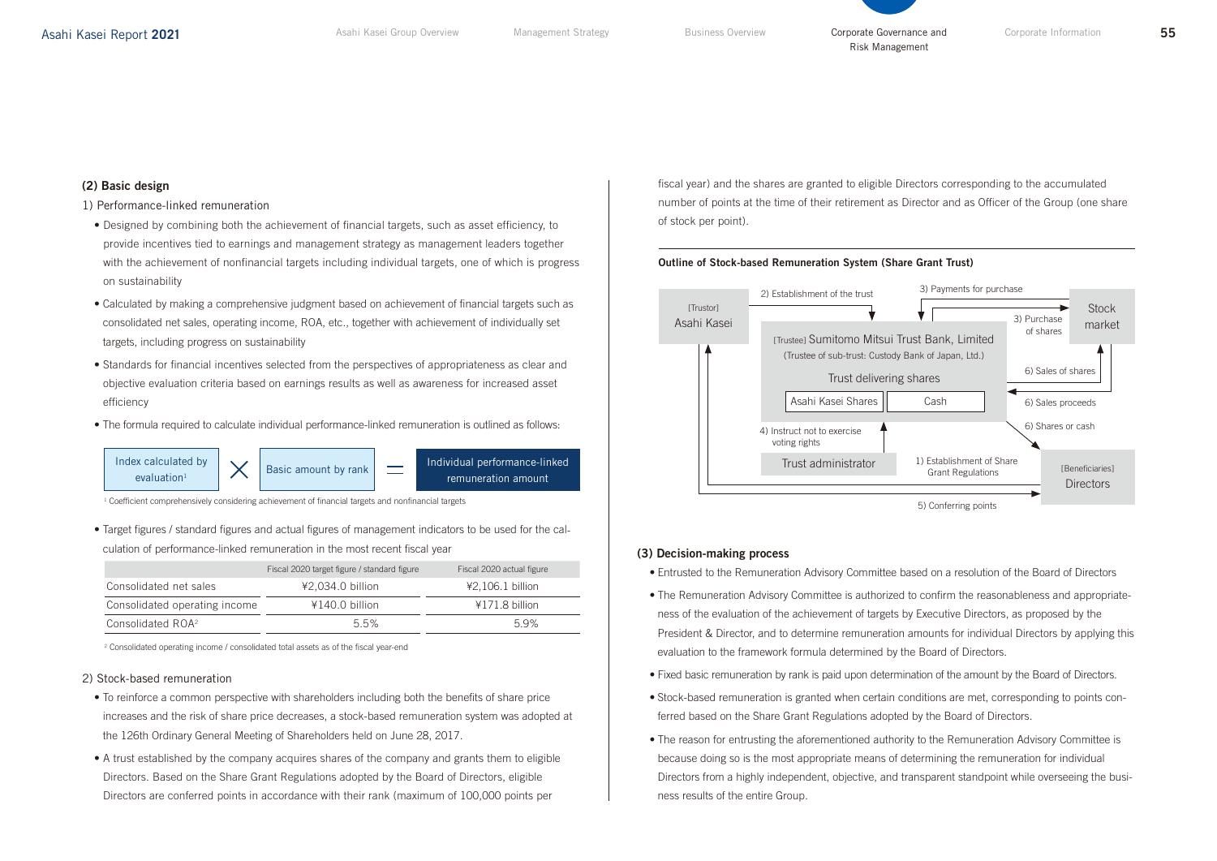# (2) Basic design

## 1) Performance-linked remuneration

- Designed by combining both the achievement of financial targets, such as asset efficiency, to provide incentives tied to earnings and management strategy as management leaders together with the achievement of nonfinancial targets including individual targets, one of which is progress on sustainability
- Calculated by making a comprehensive judgment based on achievement of financial targets such as consolidated net sales, operating income, ROA, etc., together with achievement of individually set targets, including progress on sustainability
- Standards for financial incentives selected from the perspectives of appropriateness as clear and objective evaluation criteria based on earnings results as well as awareness for increased asset efficiency
- The formula required to calculate individual performance-linked remuneration is outlined as follows:



<sup>1</sup> Coefficient comprehensively considering achievement of financial targets and nonfinancial targets

• Target figures / standard figures and actual figures of management indicators to be used for the calculation of performance-linked remuneration in the most recent fiscal year

|                               | Fiscal 2020 target figure / standard figure | Fiscal 2020 actual figure |  |
|-------------------------------|---------------------------------------------|---------------------------|--|
| Consolidated net sales        | ¥2.034.0 billion                            | ¥2,106.1 billion          |  |
| Consolidated operating income | ¥140.0 billion                              | ¥171.8 billion            |  |
| Consolidated ROA <sup>2</sup> | 55%                                         | 59%                       |  |

2 Consolidated operating income / consolidated total assets as of the fiscal year-end

## 2) Stock-based remuneration

- To reinforce a common perspective with shareholders including both the benefits of share price increases and the risk of share price decreases, a stock-based remuneration system was adopted at the 126th Ordinary General Meeting of Shareholders held on June 28, 2017.
- A trust established by the company acquires shares of the company and grants them to eligible Directors. Based on the Share Grant Regulations adopted by the Board of Directors, eligible Directors are conferred points in accordance with their rank (maximum of 100,000 points per

fiscal year) and the shares are granted to eligible Directors corresponding to the accumulated number of points at the time of their retirement as Director and as Officer of the Group (one share of stock per point).

Risk Management

## Outline of Stock-based Remuneration System (Share Grant Trust)



# (3) Decision-making process

- Entrusted to the Remuneration Advisory Committee based on a resolution of the Board of Directors
- The Remuneration Advisory Committee is authorized to confirm the reasonableness and appropriateness of the evaluation of the achievement of targets by Executive Directors, as proposed by the President & Director, and to determine remuneration amounts for individual Directors by applying this evaluation to the framework formula determined by the Board of Directors.
- Fixed basic remuneration by rank is paid upon determination of the amount by the Board of Directors.
- Stock-based remuneration is granted when certain conditions are met, corresponding to points conferred based on the Share Grant Regulations adopted by the Board of Directors.
- The reason for entrusting the aforementioned authority to the Remuneration Advisory Committee is because doing so is the most appropriate means of determining the remuneration for individual Directors from a highly independent, objective, and transparent standpoint while overseeing the business results of the entire Group.